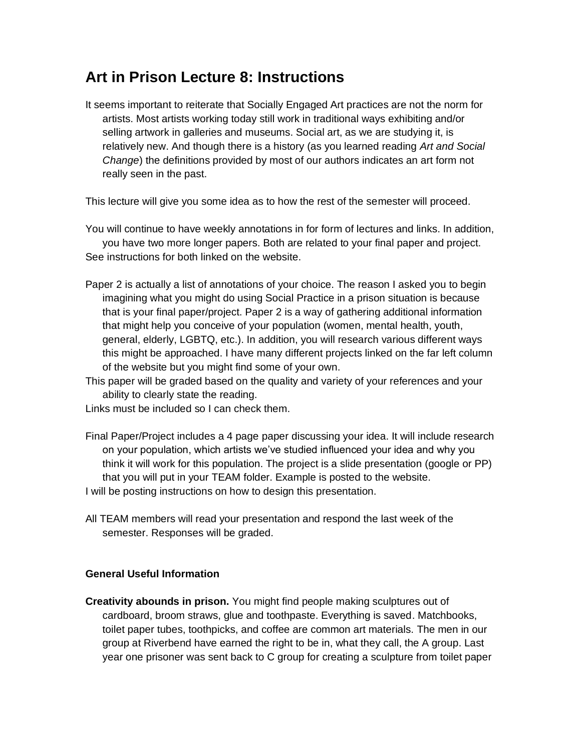## **Art in Prison Lecture 8: Instructions**

It seems important to reiterate that Socially Engaged Art practices are not the norm for artists. Most artists working today still work in traditional ways exhibiting and/or selling artwork in galleries and museums. Social art, as we are studying it, is relatively new. And though there is a history (as you learned reading *Art and Social Change*) the definitions provided by most of our authors indicates an art form not really seen in the past.

This lecture will give you some idea as to how the rest of the semester will proceed.

You will continue to have weekly annotations in for form of lectures and links. In addition, you have two more longer papers. Both are related to your final paper and project. See instructions for both linked on the website.

- Paper 2 is actually a list of annotations of your choice. The reason I asked you to begin imagining what you might do using Social Practice in a prison situation is because that is your final paper/project. Paper 2 is a way of gathering additional information that might help you conceive of your population (women, mental health, youth, general, elderly, LGBTQ, etc.). In addition, you will research various different ways this might be approached. I have many different projects linked on the far left column of the website but you might find some of your own.
- This paper will be graded based on the quality and variety of your references and your ability to clearly state the reading.

Links must be included so I can check them.

- Final Paper/Project includes a 4 page paper discussing your idea. It will include research on your population, which artists we've studied influenced your idea and why you think it will work for this population. The project is a slide presentation (google or PP) that you will put in your TEAM folder. Example is posted to the website. I will be posting instructions on how to design this presentation.
- All TEAM members will read your presentation and respond the last week of the semester. Responses will be graded.

## **General Useful Information**

**Creativity abounds in prison.** You might find people making sculptures out of cardboard, broom straws, glue and toothpaste. Everything is saved. Matchbooks, toilet paper tubes, toothpicks, and coffee are common art materials. The men in our group at Riverbend have earned the right to be in, what they call, the A group. Last year one prisoner was sent back to C group for creating a sculpture from toilet paper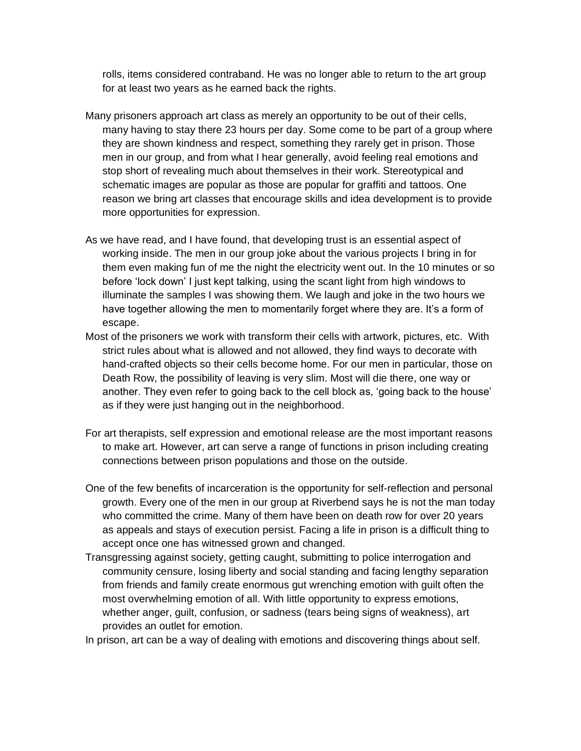rolls, items considered contraband. He was no longer able to return to the art group for at least two years as he earned back the rights.

- Many prisoners approach art class as merely an opportunity to be out of their cells, many having to stay there 23 hours per day. Some come to be part of a group where they are shown kindness and respect, something they rarely get in prison. Those men in our group, and from what I hear generally, avoid feeling real emotions and stop short of revealing much about themselves in their work. Stereotypical and schematic images are popular as those are popular for graffiti and tattoos. One reason we bring art classes that encourage skills and idea development is to provide more opportunities for expression.
- As we have read, and I have found, that developing trust is an essential aspect of working inside. The men in our group joke about the various projects I bring in for them even making fun of me the night the electricity went out. In the 10 minutes or so before 'lock down' I just kept talking, using the scant light from high windows to illuminate the samples I was showing them. We laugh and joke in the two hours we have together allowing the men to momentarily forget where they are. It's a form of escape.
- Most of the prisoners we work with transform their cells with artwork, pictures, etc. With strict rules about what is allowed and not allowed, they find ways to decorate with hand-crafted objects so their cells become home. For our men in particular, those on Death Row, the possibility of leaving is very slim. Most will die there, one way or another. They even refer to going back to the cell block as, 'going back to the house' as if they were just hanging out in the neighborhood.
- For art therapists, self expression and emotional release are the most important reasons to make art. However, art can serve a range of functions in prison including creating connections between prison populations and those on the outside.
- One of the few benefits of incarceration is the opportunity for self-reflection and personal growth. Every one of the men in our group at Riverbend says he is not the man today who committed the crime. Many of them have been on death row for over 20 years as appeals and stays of execution persist. Facing a life in prison is a difficult thing to accept once one has witnessed grown and changed.
- Transgressing against society, getting caught, submitting to police interrogation and community censure, losing liberty and social standing and facing lengthy separation from friends and family create enormous gut wrenching emotion with guilt often the most overwhelming emotion of all. With little opportunity to express emotions, whether anger, guilt, confusion, or sadness (tears being signs of weakness), art provides an outlet for emotion.

In prison, art can be a way of dealing with emotions and discovering things about self.